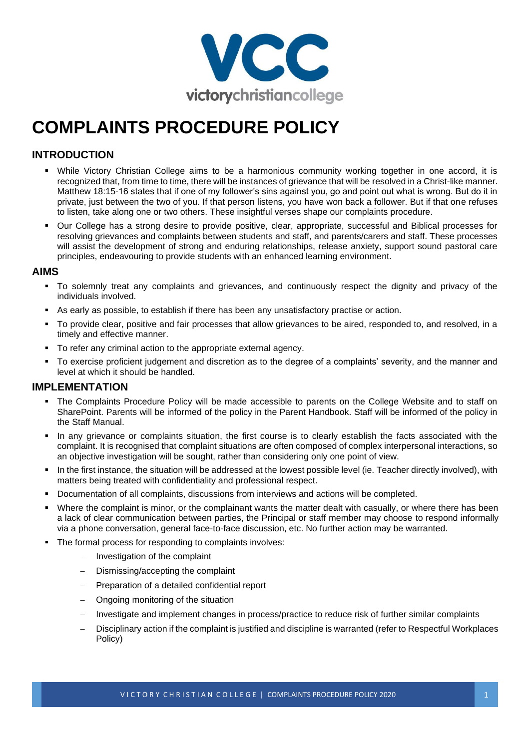

# **COMPLAINTS PROCEDURE POLICY**

### **INTRODUCTION**

- While Victory Christian College aims to be a harmonious community working together in one accord, it is recognized that, from time to time, there will be instances of grievance that will be resolved in a Christ-like manner. Matthew 18:15-16 states that if one of my follower's sins against you, go and point out what is wrong. But do it in private, just between the two of you. If that person listens, you have won back a follower. But if that one refuses to listen, take along one or two others. These insightful verses shape our complaints procedure.
- Our College has a strong desire to provide positive, clear, appropriate, successful and Biblical processes for resolving grievances and complaints between students and staff, and parents/carers and staff. These processes will assist the development of strong and enduring relationships, release anxiety, support sound pastoral care principles, endeavouring to provide students with an enhanced learning environment.

#### **AIMS**

- To solemnly treat any complaints and grievances, and continuously respect the dignity and privacy of the individuals involved.
- As early as possible, to establish if there has been any unsatisfactory practise or action.
- To provide clear, positive and fair processes that allow grievances to be aired, responded to, and resolved, in a timely and effective manner.
- To refer any criminal action to the appropriate external agency.
- To exercise proficient judgement and discretion as to the degree of a complaints' severity, and the manner and level at which it should be handled.

#### **IMPLEMENTATION**

- The Complaints Procedure Policy will be made accessible to parents on the College Website and to staff on SharePoint. Parents will be informed of the policy in the Parent Handbook. Staff will be informed of the policy in the Staff Manual.
- In any grievance or complaints situation, the first course is to clearly establish the facts associated with the complaint. It is recognised that complaint situations are often composed of complex interpersonal interactions, so an objective investigation will be sought, rather than considering only one point of view.
- In the first instance, the situation will be addressed at the lowest possible level (ie. Teacher directly involved), with matters being treated with confidentiality and professional respect.
- Documentation of all complaints, discussions from interviews and actions will be completed.
- Where the complaint is minor, or the complainant wants the matter dealt with casually, or where there has been a lack of clear communication between parties, the Principal or staff member may choose to respond informally via a phone conversation, general face-to-face discussion, etc. No further action may be warranted.
- The formal process for responding to complaints involves:
	- − Investigation of the complaint
	- − Dismissing/accepting the complaint
	- − Preparation of a detailed confidential report
	- − Ongoing monitoring of the situation
	- − Investigate and implement changes in process/practice to reduce risk of further similar complaints
	- − Disciplinary action if the complaint is justified and discipline is warranted (refer to Respectful Workplaces Policy)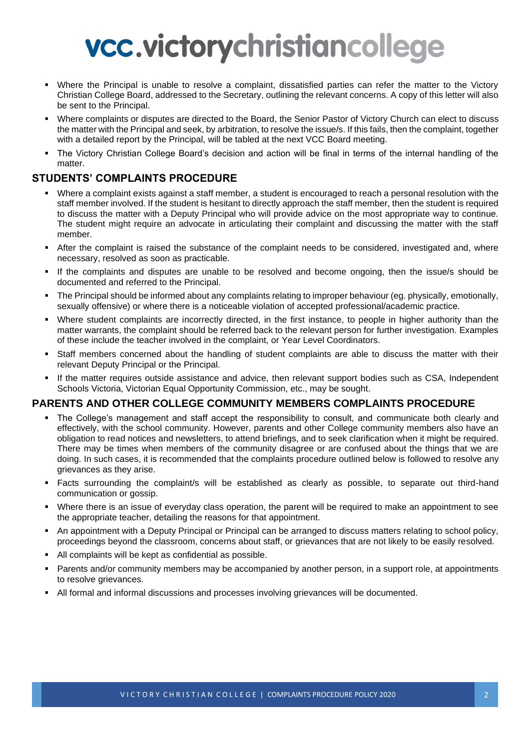# vcc.victorychristiancollege

- Where the Principal is unable to resolve a complaint, dissatisfied parties can refer the matter to the Victory Christian College Board, addressed to the Secretary, outlining the relevant concerns. A copy of this letter will also be sent to the Principal.
- Where complaints or disputes are directed to the Board, the Senior Pastor of Victory Church can elect to discuss the matter with the Principal and seek, by arbitration, to resolve the issue/s. If this fails, then the complaint, together with a detailed report by the Principal, will be tabled at the next VCC Board meeting.
- The Victory Christian College Board's decision and action will be final in terms of the internal handling of the matter.

#### **STUDENTS' COMPLAINTS PROCEDURE**

- Where a complaint exists against a staff member, a student is encouraged to reach a personal resolution with the staff member involved. If the student is hesitant to directly approach the staff member, then the student is required to discuss the matter with a Deputy Principal who will provide advice on the most appropriate way to continue. The student might require an advocate in articulating their complaint and discussing the matter with the staff member.
- After the complaint is raised the substance of the complaint needs to be considered, investigated and, where necessary, resolved as soon as practicable.
- If the complaints and disputes are unable to be resolved and become ongoing, then the issue/s should be documented and referred to the Principal.
- The Principal should be informed about any complaints relating to improper behaviour (eg. physically, emotionally, sexually offensive) or where there is a noticeable violation of accepted professional/academic practice.
- Where student complaints are incorrectly directed, in the first instance, to people in higher authority than the matter warrants, the complaint should be referred back to the relevant person for further investigation. Examples of these include the teacher involved in the complaint, or Year Level Coordinators.
- Staff members concerned about the handling of student complaints are able to discuss the matter with their relevant Deputy Principal or the Principal.
- If the matter requires outside assistance and advice, then relevant support bodies such as CSA, Independent Schools Victoria, Victorian Equal Opportunity Commission, etc., may be sought.

#### **PARENTS AND OTHER COLLEGE COMMUNITY MEMBERS COMPLAINTS PROCEDURE**

- The College's management and staff accept the responsibility to consult, and communicate both clearly and effectively, with the school community. However, parents and other College community members also have an obligation to read notices and newsletters, to attend briefings, and to seek clarification when it might be required. There may be times when members of the community disagree or are confused about the things that we are doing. In such cases, it is recommended that the complaints procedure outlined below is followed to resolve any grievances as they arise.
- Facts surrounding the complaint/s will be established as clearly as possible, to separate out third-hand communication or gossip.
- Where there is an issue of everyday class operation, the parent will be required to make an appointment to see the appropriate teacher, detailing the reasons for that appointment.
- An appointment with a Deputy Principal or Principal can be arranged to discuss matters relating to school policy, proceedings beyond the classroom, concerns about staff, or grievances that are not likely to be easily resolved.
- All complaints will be kept as confidential as possible.
- Parents and/or community members may be accompanied by another person, in a support role, at appointments to resolve grievances.
- All formal and informal discussions and processes involving grievances will be documented.